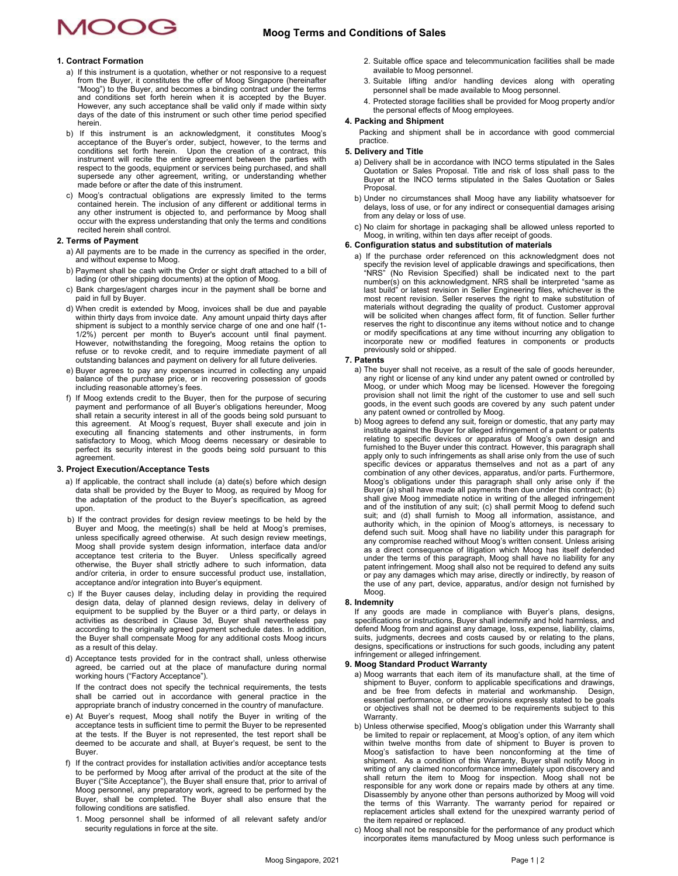### **Moog Terms and Conditions of Sales**

## AOOG

#### **1. Contract Formation**

- a) If this instrument is a quotation, whether or not responsive to a request from the Buyer, it constitutes the offer of Moog Singapore (hereinafter "Moog") to the Buyer, and becomes a binding contract under the terms and conditions set forth herein when it is accepted by the Buyer. However, any such acceptance shall be valid only if made within sixty days of the date of this instrument or such other time period specified herein.
- b) If this instrument is an acknowledgment, it constitutes Moog's acceptance of the Buyer's order, subject, however, to the terms and conditions set forth herein. Upon the creation of a contract, this instrument will recite the entire agreement between the parties with respect to the goods, equipment or services being purchased, and shall supersede any other agreement, writing, or understanding whether made before or after the date of this instrument.
- c) Moog's contractual obligations are expressly limited to the terms contained herein. The inclusion of any different or additional terms in any other instrument is objected to, and performance by Moog shall occur with the express understanding that only the terms and conditions recited herein shall control.

#### **2. Terms of Payment**

- a) All payments are to be made in the currency as specified in the order, and without expense to Moog.
- b) Payment shall be cash with the Order or sight draft attached to a bill of lading (or other shipping documents) at the option of Moog.
- c) Bank charges/agent charges incur in the payment shall be borne and paid in full by Buyer.
- d) When credit is extended by Moog, invoices shall be due and payable within thirty days from invoice date. Any amount unpaid thirty days after shipment is subject to a monthly service charge of one and one half (1- 1/2%) percent per month to Buyer's account until final payment. However, notwithstanding the foregoing, Moog retains the option to refuse or to revoke credit, and to require immediate payment of all outstanding balances and payment on delivery for all future deliveries.
- e) Buyer agrees to pay any expenses incurred in collecting any unpaid balance of the purchase price, or in recovering possession of goods including reasonable attorney's fees.
- f) If Moog extends credit to the Buyer, then for the purpose of securing payment and performance of all Buyer's obligations hereunder, Moog shall retain a security interest in all of the goods being sold pursuant to this a executing all financing statements and other instruments, in form satisfactory to Moog, which Moog deems necessary or desirable to perfect its security interest in the goods being sold pursuant to this agreement.

#### **3. Project Execution/Acceptance Tests**

- a) If applicable, the contract shall include (a) date(s) before which design data shall be provided by the Buyer to Moog, as required by Moog for the adaptation of the product to the Buyer's specification, as agreed upon.
- b) If the contract provides for design review meetings to be held by the Buyer and Moog, the meeting(s) shall be held at Moog's premises, unless specifically agreed otherwise. At such design review meetings, Moog shall provide system design information, interface data and/or acceptance test criteria to the Buyer. Unless specifically agreed otherwise, the Buyer shall strictly adhere to such information, data and/or criteria, in order to ensure successful product use, installation, acceptance and/or integration into Buyer's equipment.
- c) If the Buyer causes delay, including delay in providing the required design data, delay of planned design reviews, delay in delivery of equipment to be supplied by the Buyer or a third party, or delays in activities as described in Clause 3d, Buyer shall nevertheless pay according to the originally agreed payment schedule dates. In addition, the Buyer shall compensate Moog for any additional costs Moog incurs as a result of this delay.
- d) Acceptance tests provided for in the contract shall, unless otherwise agreed, be carried out at the place of manufacture during normal working hours ("Factory Acceptance"). If the contract does not specify the technical requirements, the tests shall be carried out in accordance with general practice in the appropriate branch of industry concerned in the country of manufacture.
- e) At Buyer's request, Moog shall notify the Buyer in writing of the acceptance tests in sufficient time to permit the Buyer to be represented at the tests. If the Buyer is not represented, the test report shall be deemed to be accurate and shall, at Buyer's request, be sent to the Buyer.
- f) If the contract provides for installation activities and/or acceptance tests to be performed by Moog after arrival of the product at the site of the Buyer ("Site Acceptance"), the Buyer shall ensure that, prior to arrival of Moog personnel, any preparatory work, agreed to be performed by the Buyer, shall be completed. The Buyer shall also ensure that the following conditions are satisfied.
	- 1. Moog personnel shall be informed of all relevant safety and/or security regulations in force at the site.
- 2. Suitable office space and telecommunication facilities shall be made available to Moog personnel.
- 3. Suitable lifting and/or handling devices along with operating personnel shall be made available to Moog personnel.
- 4. Protected storage facilities shall be provided for Moog property and/or the personal effects of Moog employees.

#### **4. Packing and Shipment**

Packing and shipment shall be in accordance with good commercial practice.

#### **5. Delivery and Title**

- a) Delivery shall be in accordance with INCO terms stipulated in the Sales Quotation or Sales Proposal. Title and risk of loss shall pass to the Buyer at the INCO terms stipulated in the Sales Quotation or Sales **Proposal**
- b) Under no circumstances shall Moog have any liability whatsoever for delays, loss of use, or for any indirect or consequential damages arising from any delay or loss of use.
- c) No claim for shortage in packaging shall be allowed unless reported to Moog, in writing, within ten days after receipt of goods.

#### **6. Configuration status and substitution of materials**

 a) If the purchase order referenced on this acknowledgment does not specify the revision level of applicable drawings and specifications, then "NRS" (No Revision Specified) shall be indicated next to the part number(s) on this acknowledgment. NRS shall be interpreted "same as last build" or latest revision in Seller Engineering files, whichever is the most recent revision. Seller reserves the right to make substitution of materials without degrading the quality of product. Customer approval will be solicited when changes affect form, fit of function. Seller further reserves the right to discontinue any items without notice and to change or modify specifications at any time without incurring any obligation to incorporate new or modified features in components or products previously sold or shipped.

#### **7. Patents**

- a) The buyer shall not receive, as a result of the sale of goods hereunder, any right or license of any kind under any patent owned or controlled by Moog, or under which Moog may be licensed. However the foregoing provision shall not limit the right of the customer to use and sell such goods, in the event such goods are covered by any such patent under any patent owned or controlled by Moog.
- b) Moog agrees to defend any suit, foreign or domestic, that any party may institute against the Buyer for alleged infringement of a patent or patents relating to specific devices or apparatus of Moog's own design and furnished to the Buyer under this contract. However, this paragraph shall apply only to such infringements as shall arise only from the use of such specific devices or apparatus themselves and not as a part of any combination of any other devices, apparatus, and/or parts. Furthermore, Moog's obligations under this paragraph shall only arise only if the Buyer (a) shall have made all payments then due under this contract; (b) shall give Moog immediate notice in writing of the alleged infringement and of the institution of any suit; (c) shall permit Moog to defend such suit; and (d) shall furnish to Moog all information, assistance, and<br>authority which, in the opinion of Moog's attorneys, is necessary to<br>defend such suit. Moog shall have no liability under this paragraph for<br>any compromi patent infringement. Moog shall also not be required to defend any suits or pay any damages which may arise, directly or indirectly, by reason of the use of any part, device, apparatus, and/or design not furnished by Moog.

#### **8. Indemnity**

If any goods are made in compliance with Buyer's plans, designs, specifications or instructions, Buyer shall indemnify and hold harmless, and defend Moog from and against any damage, loss, expense, liability, claims, suits, judgments, decrees and costs caused by or relating to the plans, designs, specifications or instructions for such goods, including any patent infringement or alleged infringement.

#### **9. Moog Standard Product Warranty**

- a) Moog warrants that each item of its manufacture shall, at the time of shipment to Buyer, conform to applicable specifications and drawings, and be free from defects in material and workmanship. Design, and be free from defects in material and workmanship. essential performance, or other provisions expressly stated to be goals or objectives shall not be deemed to be requirements subject to this Warranty.
- b) Unless otherwise specified, Moog's obligation under this Warranty shall be limited to repair or replacement, at Moog's option, of any item which within twelve months from date of shipment to Buyer is proven to Moog's satisfaction to have been nonconforming at the time of shipment. As a condition of this Warranty, Buyer shall notify Moog in writing of any claimed nonconformance immediately upon discovery and shall return the item to Moog for inspection. Moog shall not be responsible for any work done or repairs made by others at any time. Disassembly by anyone other than persons authorized by Moog will void the terms of this Warranty. The warranty period for repaired or replacement articles shall extend for the unexpired warranty period of the item repaired or replaced.
- c) Moog shall not be responsible for the performance of any product which incorporates items manufactured by Moog unless such performance is